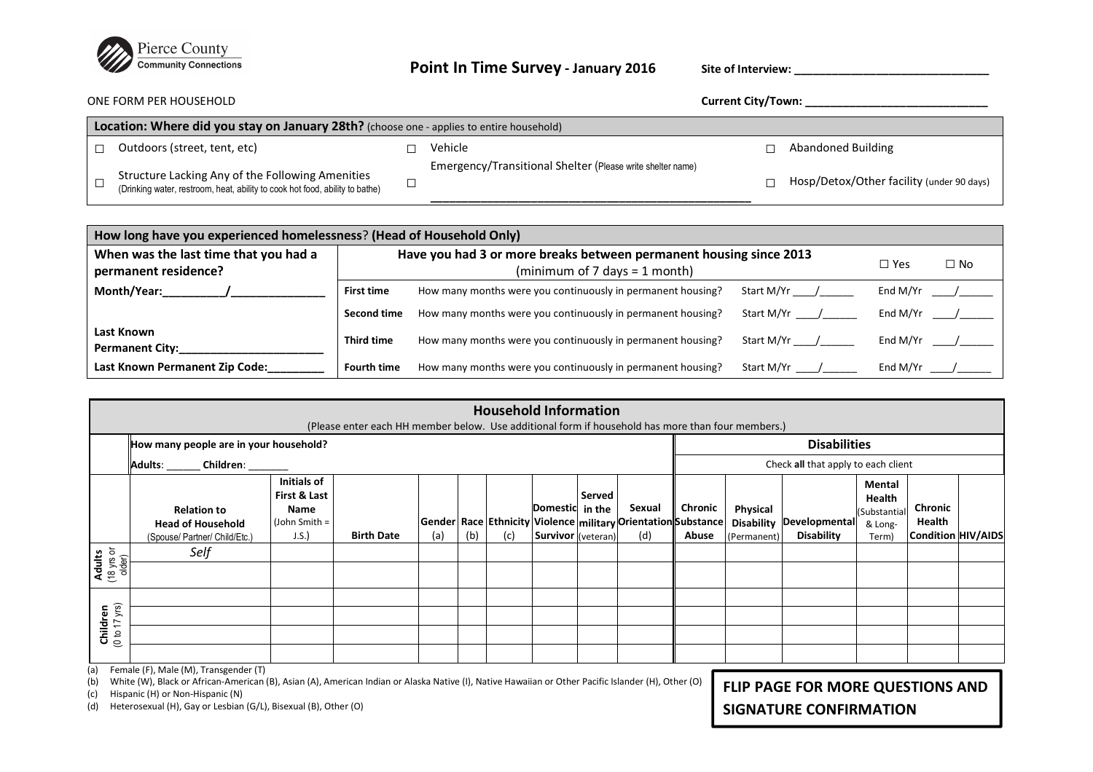

## **Point In Time Survey - January 2016**

**Site of Interview: \_\_\_\_\_\_\_\_\_\_\_\_\_\_\_\_\_\_\_\_\_\_\_\_\_\_\_\_\_\_\_**

ONE FORM PER HOUSEHOLD **Current City/Town: \_\_\_\_\_\_\_\_\_\_\_\_\_\_\_\_\_\_\_\_\_\_\_\_\_\_\_\_\_** 

| Location: Where did you stay on January 28th? (choose one - applies to entire household) |                                                                                                                                  |  |                                                            |  |                                           |  |  |  |
|------------------------------------------------------------------------------------------|----------------------------------------------------------------------------------------------------------------------------------|--|------------------------------------------------------------|--|-------------------------------------------|--|--|--|
|                                                                                          | Outdoors (street, tent, etc)                                                                                                     |  | Vehicle                                                    |  | Abandoned Building                        |  |  |  |
|                                                                                          | Structure Lacking Any of the Following Amenities<br>(Drinking water, restroom, heat, ability to cook hot food, ability to bathe) |  | Emergency/Transitional Shelter (Please write shelter name) |  | Hosp/Detox/Other facility (under 90 days) |  |  |  |

| How long have you experienced homelessness? (Head of Household Only) |                                                                    |                                                             |            |          |  |  |  |  |  |
|----------------------------------------------------------------------|--------------------------------------------------------------------|-------------------------------------------------------------|------------|----------|--|--|--|--|--|
| When was the last time that you had a<br>permanent residence?        | Have you had 3 or more breaks between permanent housing since 2013 | $\Box$ Yes                                                  | $\Box$ No  |          |  |  |  |  |  |
| Month/Year:                                                          | <b>First time</b>                                                  | How many months were you continuously in permanent housing? | Start M/Yr | End M/Yr |  |  |  |  |  |
|                                                                      | Second time                                                        | How many months were you continuously in permanent housing? | Start M/Yr | End M/Yr |  |  |  |  |  |
| Last Known<br><b>Permanent City:</b>                                 | Third time                                                         | How many months were you continuously in permanent housing? | Start M/Yr | End M/Yr |  |  |  |  |  |
| Last Known Permanent Zip Code:                                       | <b>Fourth time</b>                                                 | How many months were you continuously in permanent housing? | Start M/Yr | End M/Yr |  |  |  |  |  |

| <b>Household Information</b><br>(Please enter each HH member below. Use additional form if household has more than four members.) |                                                                                                                                                                                                                                  |                                                               |                   |     |     |     |                                              |                                     |                                                                                  |                  |                                              |                                    |                                                      |                                                |  |
|-----------------------------------------------------------------------------------------------------------------------------------|----------------------------------------------------------------------------------------------------------------------------------------------------------------------------------------------------------------------------------|---------------------------------------------------------------|-------------------|-----|-----|-----|----------------------------------------------|-------------------------------------|----------------------------------------------------------------------------------|------------------|----------------------------------------------|------------------------------------|------------------------------------------------------|------------------------------------------------|--|
|                                                                                                                                   | How many people are in your household?                                                                                                                                                                                           |                                                               |                   |     |     |     |                                              |                                     | <b>Disabilities</b>                                                              |                  |                                              |                                    |                                                      |                                                |  |
|                                                                                                                                   | <b>Adults:</b><br>Children:                                                                                                                                                                                                      |                                                               |                   |     |     |     |                                              | Check all that apply to each client |                                                                                  |                  |                                              |                                    |                                                      |                                                |  |
|                                                                                                                                   | <b>Relation to</b><br><b>Head of Household</b><br>(Spouse/ Partner/ Child/Etc.)                                                                                                                                                  | Initials of<br>First & Last<br>Name<br>$John Smith =$<br>J.S. | <b>Birth Date</b> | (a) | (b) | (c) | Domestic in the<br><b>Survivor</b> (veteran) | Served                              | Sexual<br> Gender Race Ethnicity Violence military Orientation Substance <br>(d) | Chronic<br>Abuse | Physical<br><b>Disability</b><br>(Permanent) | Developmental<br><b>Disability</b> | Mental<br>Health<br>(Substantial<br>& Long-<br>Term) | Chronic<br>Health<br><b>Condition HIV/AIDS</b> |  |
| <b>Adults</b><br>(18 yrs or<br>older)                                                                                             | Self                                                                                                                                                                                                                             |                                                               |                   |     |     |     |                                              |                                     |                                                                                  |                  |                                              |                                    |                                                      |                                                |  |
| Children<br>$(0 \text{ to } 17 \text{ yrs})$                                                                                      |                                                                                                                                                                                                                                  |                                                               |                   |     |     |     |                                              |                                     |                                                                                  |                  |                                              |                                    |                                                      |                                                |  |
| (a)<br>(b)                                                                                                                        | Female (F), Male (M), Transgender (T)<br>White (W), Black or African-American (B), Asian (A), American Indian or Alaska Native (I), Native Hawaiian or Other Pacific Islander (H), Other (O)<br>FLIP PAGE FOR MORE QUESTIONS AND |                                                               |                   |     |     |     |                                              |                                     |                                                                                  |                  |                                              |                                    |                                                      |                                                |  |

(c) Hispanic (H) or Non-Hispanic (N)

(d) Heterosexual (H), Gay or Lesbian (G/L), Bisexual (B), Other (O)

**SIGNATURE CONFIRMATION**